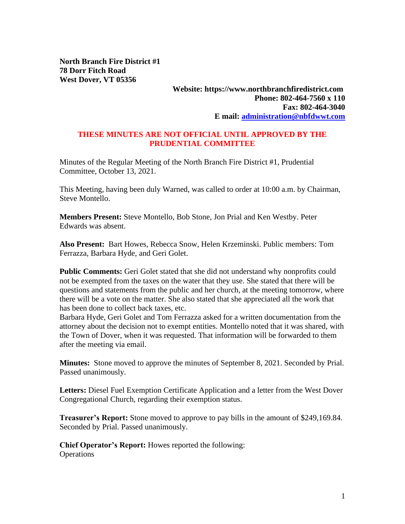**North Branch Fire District #1 78 Dorr Fitch Road West Dover, VT 05356**

## **Website: https://www.northbranchfiredistrict.com Phone: 802-464-7560 x 110 Fax: 802-464-3040 E mail: [administration@nbfdwwt.com](mailto:administration@nbfdwwt.com)**

## **THESE MINUTES ARE NOT OFFICIAL UNTIL APPROVED BY THE PRUDENTIAL COMMITTEE**

Minutes of the Regular Meeting of the North Branch Fire District #1, Prudential Committee, October 13, 2021.

This Meeting, having been duly Warned, was called to order at 10:00 a.m. by Chairman, Steve Montello.

**Members Present:** Steve Montello, Bob Stone, Jon Prial and Ken Westby. Peter Edwards was absent.

**Also Present:** Bart Howes, Rebecca Snow, Helen Krzeminski. Public members: Tom Ferrazza, Barbara Hyde, and Geri Golet.

**Public Comments:** Geri Golet stated that she did not understand why nonprofits could not be exempted from the taxes on the water that they use. She stated that there will be questions and statements from the public and her church, at the meeting tomorrow, where there will be a vote on the matter. She also stated that she appreciated all the work that has been done to collect back taxes, etc.

Barbara Hyde, Geri Golet and Tom Ferrazza asked for a written documentation from the attorney about the decision not to exempt entities. Montello noted that it was shared, with the Town of Dover, when it was requested. That information will be forwarded to them after the meeting via email.

**Minutes:** Stone moved to approve the minutes of September 8, 2021. Seconded by Prial. Passed unanimously.

**Letters:** Diesel Fuel Exemption Certificate Application and a letter from the West Dover Congregational Church, regarding their exemption status.

**Treasurer's Report:** Stone moved to approve to pay bills in the amount of \$249,169.84. Seconded by Prial. Passed unanimously.

**Chief Operator's Report:** Howes reported the following: **Operations**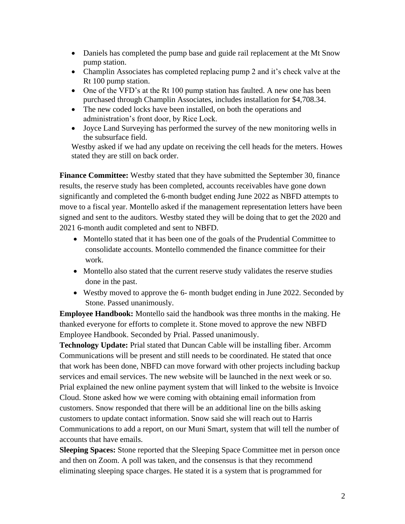- Daniels has completed the pump base and guide rail replacement at the Mt Snow pump station.
- Champlin Associates has completed replacing pump 2 and it's check valve at the Rt 100 pump station.
- One of the VFD's at the Rt 100 pump station has faulted. A new one has been purchased through Champlin Associates, includes installation for \$4,708.34.
- The new coded locks have been installed, on both the operations and administration's front door, by Rice Lock.
- Joyce Land Surveying has performed the survey of the new monitoring wells in the subsurface field.

Westby asked if we had any update on receiving the cell heads for the meters. Howes stated they are still on back order.

**Finance Committee:** Westby stated that they have submitted the September 30, finance results, the reserve study has been completed, accounts receivables have gone down significantly and completed the 6-month budget ending June 2022 as NBFD attempts to move to a fiscal year. Montello asked if the management representation letters have been signed and sent to the auditors. Westby stated they will be doing that to get the 2020 and 2021 6-month audit completed and sent to NBFD.

- Montello stated that it has been one of the goals of the Prudential Committee to consolidate accounts. Montello commended the finance committee for their work.
- Montello also stated that the current reserve study validates the reserve studies done in the past.
- Westby moved to approve the 6- month budget ending in June 2022. Seconded by Stone. Passed unanimously.

**Employee Handbook:** Montello said the handbook was three months in the making. He thanked everyone for efforts to complete it. Stone moved to approve the new NBFD Employee Handbook. Seconded by Prial. Passed unanimously.

**Technology Update:** Prial stated that Duncan Cable will be installing fiber. Arcomm Communications will be present and still needs to be coordinated. He stated that once that work has been done, NBFD can move forward with other projects including backup services and email services. The new website will be launched in the next week or so. Prial explained the new online payment system that will linked to the website is Invoice Cloud. Stone asked how we were coming with obtaining email information from customers. Snow responded that there will be an additional line on the bills asking customers to update contact information. Snow said she will reach out to Harris Communications to add a report, on our Muni Smart, system that will tell the number of accounts that have emails.

**Sleeping Spaces:** Stone reported that the Sleeping Space Committee met in person once and then on Zoom. A poll was taken, and the consensus is that they recommend eliminating sleeping space charges. He stated it is a system that is programmed for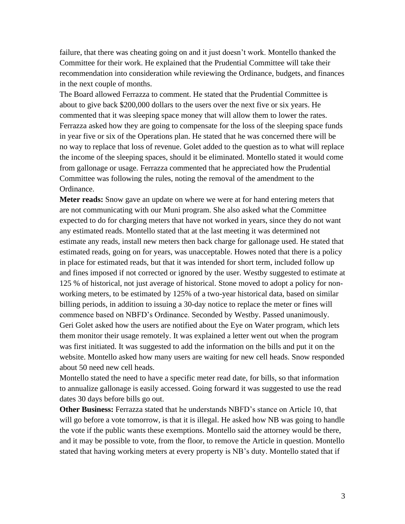failure, that there was cheating going on and it just doesn't work. Montello thanked the Committee for their work. He explained that the Prudential Committee will take their recommendation into consideration while reviewing the Ordinance, budgets, and finances in the next couple of months.

The Board allowed Ferrazza to comment. He stated that the Prudential Committee is about to give back \$200,000 dollars to the users over the next five or six years. He commented that it was sleeping space money that will allow them to lower the rates. Ferrazza asked how they are going to compensate for the loss of the sleeping space funds in year five or six of the Operations plan. He stated that he was concerned there will be no way to replace that loss of revenue. Golet added to the question as to what will replace the income of the sleeping spaces, should it be eliminated. Montello stated it would come from gallonage or usage. Ferrazza commented that he appreciated how the Prudential Committee was following the rules, noting the removal of the amendment to the Ordinance.

**Meter reads:** Snow gave an update on where we were at for hand entering meters that are not communicating with our Muni program. She also asked what the Committee expected to do for charging meters that have not worked in years, since they do not want any estimated reads. Montello stated that at the last meeting it was determined not estimate any reads, install new meters then back charge for gallonage used. He stated that estimated reads, going on for years, was unacceptable. Howes noted that there is a policy in place for estimated reads, but that it was intended for short term, included follow up and fines imposed if not corrected or ignored by the user. Westby suggested to estimate at 125 % of historical, not just average of historical. Stone moved to adopt a policy for nonworking meters, to be estimated by 125% of a two-year historical data, based on similar billing periods, in addition to issuing a 30-day notice to replace the meter or fines will commence based on NBFD's Ordinance. Seconded by Westby. Passed unanimously. Geri Golet asked how the users are notified about the Eye on Water program, which lets them monitor their usage remotely. It was explained a letter went out when the program was first initiated. It was suggested to add the information on the bills and put it on the website. Montello asked how many users are waiting for new cell heads. Snow responded about 50 need new cell heads.

Montello stated the need to have a specific meter read date, for bills, so that information to annualize gallonage is easily accessed. Going forward it was suggested to use the read dates 30 days before bills go out.

**Other Business:** Ferrazza stated that he understands NBFD's stance on Article 10, that will go before a vote tomorrow, is that it is illegal. He asked how NB was going to handle the vote if the public wants these exemptions. Montello said the attorney would be there, and it may be possible to vote, from the floor, to remove the Article in question. Montello stated that having working meters at every property is NB's duty. Montello stated that if